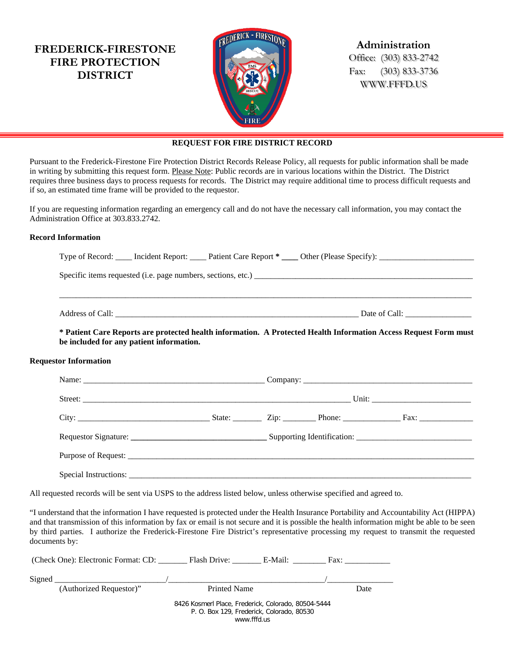**FREDERICK-FIRESTONE FIRE PROTECTION DISTRICT**



**Administration** Office: (303) 833-2742

Fax: (303) 833-3736 WWW.FFFD.US

## **REQUEST FOR FIRE DISTRICT RECORD**

Pursuant to the Frederick-Firestone Fire Protection District Records Release Policy, all requests for public information shall be made in writing by submitting this request form. Please Note: Public records are in various locations within the District. The District requires three business days to process requests for records. The District may require additional time to process difficult requests and if so, an estimated time frame will be provided to the requestor.

If you are requesting information regarding an emergency call and do not have the necessary call information, you may contact the Administration Office at 303.833.2742.

## **Record Information**

| be included for any patient information. | * Patient Care Reports are protected health information. A Protected Health Information Access Request Form must |  |  |  |  |  |
|------------------------------------------|------------------------------------------------------------------------------------------------------------------|--|--|--|--|--|
| <b>Requestor Information</b>             |                                                                                                                  |  |  |  |  |  |
|                                          |                                                                                                                  |  |  |  |  |  |
|                                          |                                                                                                                  |  |  |  |  |  |

| City:                 | State: |  | $\frac{1}{2}$ Zip: Phone: $\frac{1}{2}$ Phone: | $\Gamma$ Fax: |
|-----------------------|--------|--|------------------------------------------------|---------------|
|                       |        |  |                                                |               |
|                       |        |  |                                                |               |
| Special Instructions: |        |  |                                                |               |

All requested records will be sent via USPS to the address listed below, unless otherwise specified and agreed to.

"I understand that the information I have requested is protected under the Health Insurance Portability and Accountability Act (HIPPA) and that transmission of this information by fax or email is not secure and it is possible the health information might be able to be seen by third parties. I authorize the Frederick-Firestone Fire District's representative processing my request to transmit the requested documents by:

|        | (Check One): Electronic Format: CD: | Flash Drive: E-Mail:                                                                             |  | Fax: |  |
|--------|-------------------------------------|--------------------------------------------------------------------------------------------------|--|------|--|
| Signed |                                     |                                                                                                  |  |      |  |
|        | (Authorized Requestor)"             | <b>Printed Name</b>                                                                              |  | Date |  |
|        |                                     | 8426 Kosmerl Place, Frederick, Colorado, 80504-5444<br>P. O. Box 129, Frederick, Colorado, 80530 |  |      |  |
|        |                                     |                                                                                                  |  |      |  |
|        | www.fffd.us                         |                                                                                                  |  |      |  |